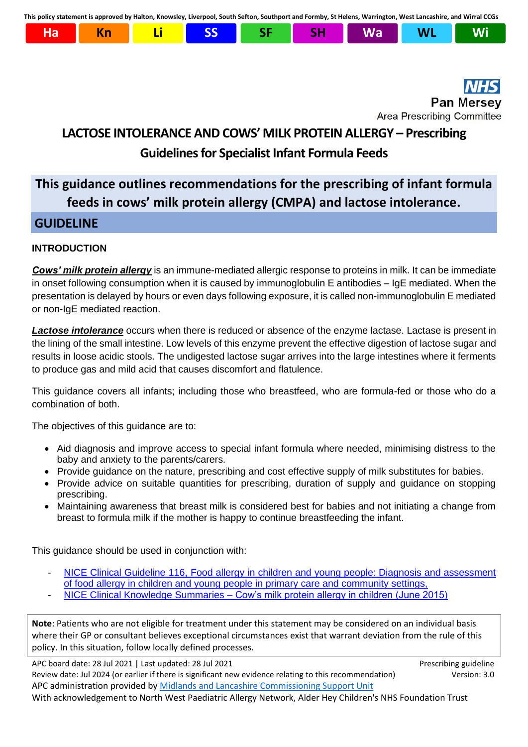**This policy statement is approved by Halton, Knowsley, Liverpool, South Sefton, Southport and Formby, St Helens, Warrington, West Lancashire, and Wirral CCGs**



# **Pan Mersey Area Prescribing Committee**

# **LACTOSE INTOLERANCE AND COWS' MILK PROTEIN ALLERGY – Prescribing Guidelines for Specialist Infant Formula Feeds**

# **This guidance outlines recommendations for the prescribing of infant formula feeds in cows' milk protein allergy (CMPA) and lactose intolerance.**

# **GUIDELINE**

### **INTRODUCTION**

*Cows' milk protein allergy* is an immune-mediated allergic response to proteins in milk. It can be immediate in onset following consumption when it is caused by immunoglobulin E antibodies – IgE mediated. When the presentation is delayed by hours or even days following exposure, it is called non-immunoglobulin E mediated or non-IgE mediated reaction.

*Lactose intolerance* occurs when there is reduced or absence of the enzyme lactase. Lactase is present in the lining of the small intestine. Low levels of this enzyme prevent the effective digestion of lactose sugar and results in loose acidic stools. The undigested lactose sugar arrives into the large intestines where it ferments to produce gas and mild acid that causes discomfort and flatulence.

This guidance covers all infants; including those who breastfeed, who are formula-fed or those who do a combination of both.

The objectives of this quidance are to:

- Aid diagnosis and improve access to special infant formula where needed, minimising distress to the baby and anxiety to the parents/carers.
- Provide guidance on the nature, prescribing and cost effective supply of milk substitutes for babies.
- Provide advice on suitable quantities for prescribing, duration of supply and guidance on stopping prescribing.
- Maintaining awareness that breast milk is considered best for babies and not initiating a change from breast to formula milk if the mother is happy to continue breastfeeding the infant.

This guidance should be used in conjunction with:

- [NICE Clinical Guideline 116, Food allergy in children and young people: Diagnosis and assessment](http://www.nice.org.uk/Guidance/CG116)  [of food allergy in children and young people in primary care and community settings,](http://www.nice.org.uk/Guidance/CG116)
- NICE Clinical Knowledge Summaries [Cow's milk protein allergy in children \(June 2015\)](https://cks.nice.org.uk/cows-milk-protein-allergy-in-children)

**Note**: Patients who are not eligible for treatment under this statement may be considered on an individual basis where their GP or consultant believes exceptional circumstances exist that warrant deviation from the rule of this policy. In this situation, follow locally defined processes.

APC board date: 28 Jul 2021 | Last updated: 28 Jul 2021 Prescribing guideline Review date: Jul 2024 (or earlier if there is significant new evidence relating to this recommendation) Version: 3.0 APC administration provided by [Midlands and Lancashire Commissioning Support Unit](https://www.midlandsandlancashirecsu.nhs.uk/) With acknowledgement to North West Paediatric Allergy Network, Alder Hey Children's NHS Foundation Trust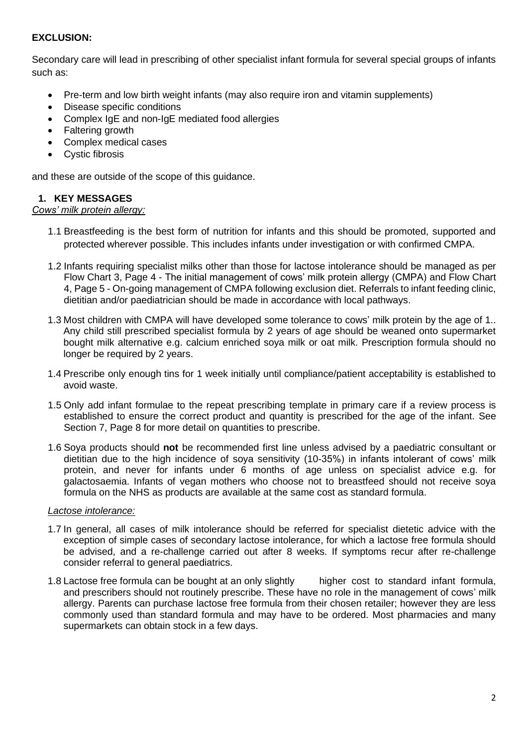### **EXCLUSION:**

Secondary care will lead in prescribing of other specialist infant formula for several special groups of infants such as:

- Pre-term and low birth weight infants (may also require iron and vitamin supplements)
- Disease specific conditions
- Complex IgE and non-IgE mediated food allergies
- Faltering growth
- Complex medical cases
- Cystic fibrosis

and these are outside of the scope of this guidance.

#### **1. KEY MESSAGES**

# *Cows' milk protein allergy:*

- 1.1 Breastfeeding is the best form of nutrition for infants and this should be promoted, supported and protected wherever possible. This includes infants under investigation or with confirmed CMPA.
- 1.2 Infants requiring specialist milks other than those for lactose intolerance should be managed as per Flow Chart 3, Page 4 - The initial management of cows' milk protein allergy (CMPA) and Flow Chart 4, Page 5 - On-going management of CMPA following exclusion diet. Referrals to infant feeding clinic, dietitian and/or paediatrician should be made in accordance with local pathways.
- 1.3 Most children with CMPA will have developed some tolerance to cows' milk protein by the age of 1.. Any child still prescribed specialist formula by 2 years of age should be weaned onto supermarket bought milk alternative e.g. calcium enriched soya milk or oat milk. Prescription formula should no longer be required by 2 years.
- 1.4 Prescribe only enough tins for 1 week initially until compliance/patient acceptability is established to avoid waste.
- 1.5 Only add infant formulae to the repeat prescribing template in primary care if a review process is established to ensure the correct product and quantity is prescribed for the age of the infant. See Section 7, Page 8 for more detail on quantities to prescribe.
- 1.6 Soya products should **not** be recommended first line unless advised by a paediatric consultant or dietitian due to the high incidence of soya sensitivity (10-35%) in infants intolerant of cows' milk protein, and never for infants under 6 months of age unless on specialist advice e.g. for galactosaemia. Infants of vegan mothers who choose not to breastfeed should not receive soya formula on the NHS as products are available at the same cost as standard formula.

#### *Lactose intolerance:*

- 1.7 In general, all cases of milk intolerance should be referred for specialist dietetic advice with the exception of simple cases of secondary lactose intolerance, for which a lactose free formula should be advised, and a re-challenge carried out after 8 weeks. If symptoms recur after re-challenge consider referral to general paediatrics.
- 1.8 Lactose free formula can be bought at an only slightly higher cost to standard infant formula, and prescribers should not routinely prescribe. These have no role in the management of cows' milk allergy. Parents can purchase lactose free formula from their chosen retailer; however they are less commonly used than standard formula and may have to be ordered. Most pharmacies and many supermarkets can obtain stock in a few days.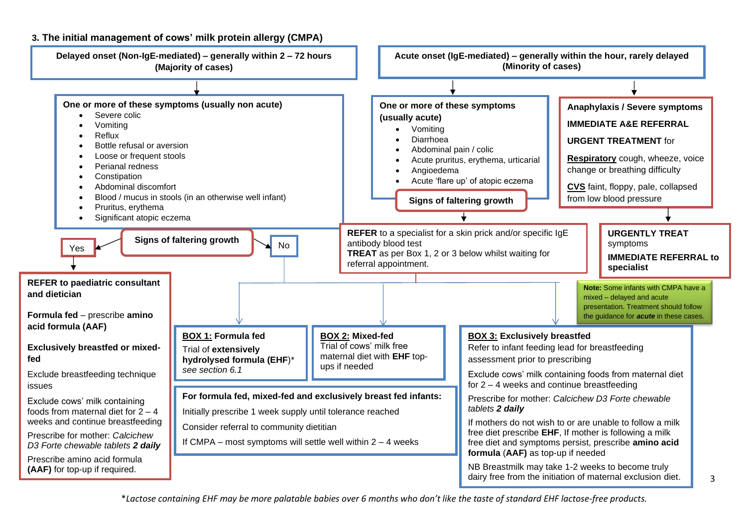

\**Lactose containing EHF may be more palatable babies over 6 months who don't like the taste of standard EHF lactose-free products.*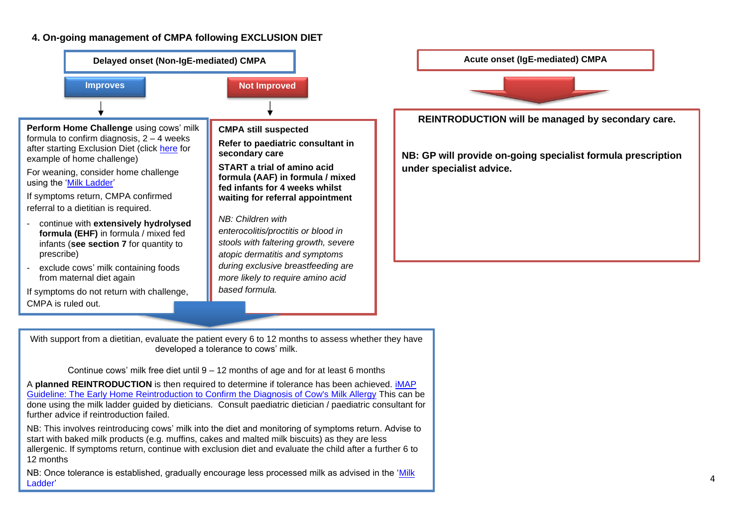#### **4. On-going management of CMPA following EXCLUSION DIET**



Continue cows' milk free diet until 9 – 12 months of age and for at least 6 months

A **planned REINTRODUCTION** is then required to determine if tolerance has been achieved. [iMAP](https://www.allergyuk.org/assets/000/001/298/Home_Reintroduction_Protocol_to_Confirm_or_Exclude_Diagnosis_original.pdf)  [Guideline: The Early Home Reintroduction to Confirm the Diagnosis of Cow's Milk Allergy](https://www.allergyuk.org/assets/000/001/298/Home_Reintroduction_Protocol_to_Confirm_or_Exclude_Diagnosis_original.pdf) This can be done using the milk ladder guided by dieticians. Consult paediatric dietician / paediatric consultant for further advice if reintroduction failed.

NB: This involves reintroducing cows' milk into the diet and monitoring of symptoms return. Advise to start with baked milk products (e.g. muffins, cakes and malted milk biscuits) as they are less allergenic. If symptoms return, continue with exclusion diet and evaluate the child after a further 6 to 12 months

NB: Once tolerance is established, gradually encourage less processed milk as advised in the ['Milk](http://cowsmilkallergyguidelines.co.uk/favicon.ico)  [Ladder'](http://cowsmilkallergyguidelines.co.uk/favicon.ico)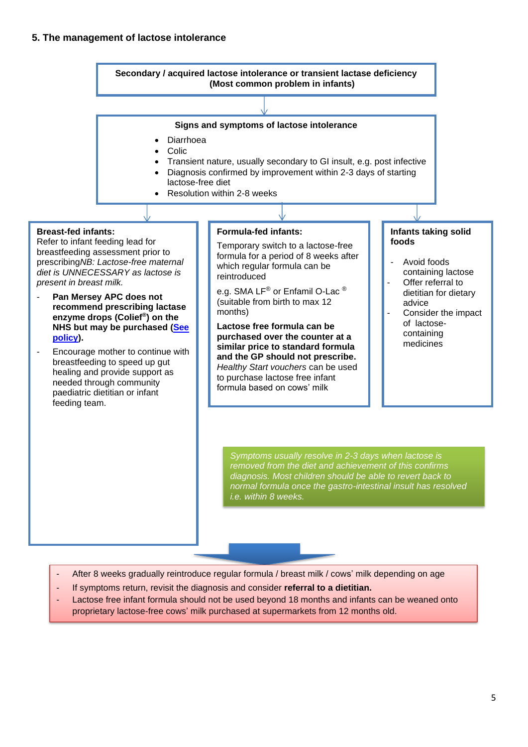#### **5. The management of lactose intolerance**



- After 8 weeks gradually reintroduce regular formula / breast milk / cows' milk depending on age
- If symptoms return, revisit the diagnosis and consider **referral to a dietitian.**
- Lactose free infant formula should not be used beyond 18 months and infants can be weaned onto proprietary lactose-free cows' milk purchased at supermarkets from 12 months old.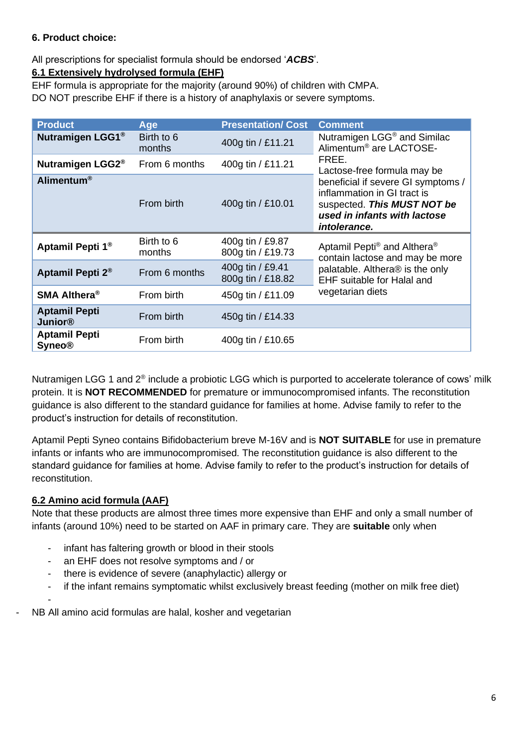# **6. Product choice:**

All prescriptions for specialist formula should be endorsed '*ACBS*'.

# **6.1 Extensively hydrolysed formula (EHF)**

EHF formula is appropriate for the majority (around 90%) of children with CMPA.

DO NOT prescribe EHF if there is a history of anaphylaxis or severe symptoms.

| <b>Product</b>                         | Age                  | <b>Presentation/ Cost</b>             | <b>Comment</b>                                                                                                                                                                     |  |
|----------------------------------------|----------------------|---------------------------------------|------------------------------------------------------------------------------------------------------------------------------------------------------------------------------------|--|
| Nutramigen LGG1 <sup>®</sup>           | Birth to 6<br>months | 400g tin / £11.21                     | Nutramigen LGG <sup>®</sup> and Similac<br>Alimentum <sup>®</sup> are LACTOSE-                                                                                                     |  |
| Nutramigen LGG2 <sup>®</sup>           | From 6 months        | 400g tin / £11.21                     | FREE.<br>Lactose-free formula may be                                                                                                                                               |  |
| Alimentum <sup>®</sup>                 | From birth           | 400g tin / £10.01                     | beneficial if severe GI symptoms /<br>inflammation in GI tract is<br>suspected. This MUST NOT be<br>used in infants with lactose<br>intolerance.                                   |  |
| Aptamil Pepti 1 <sup>®</sup>           | Birth to 6<br>months | 400g tin / £9.87<br>800g tin / £19.73 | Aptamil Pepti <sup>®</sup> and Althera <sup>®</sup><br>contain lactose and may be more<br>palatable. Althera® is the only<br><b>EHF</b> suitable for Halal and<br>vegetarian diets |  |
| Aptamil Pepti 2 <sup>®</sup>           | From 6 months        | 400g tin / £9.41<br>800g tin / £18.82 |                                                                                                                                                                                    |  |
| <b>SMA Althera®</b>                    | From birth           | 450g tin / £11.09                     |                                                                                                                                                                                    |  |
| <b>Aptamil Pepti</b><br><b>Junior®</b> | From birth           | 450g tin / £14.33                     |                                                                                                                                                                                    |  |
| <b>Aptamil Pepti</b><br><b>Syneo®</b>  | From birth           | 400g tin / £10.65                     |                                                                                                                                                                                    |  |

Nutramigen LGG 1 and  $2^{\circledast}$  include a probiotic LGG which is purported to accelerate tolerance of cows' milk protein. It is **NOT RECOMMENDED** for premature or immunocompromised infants. The reconstitution guidance is also different to the standard guidance for families at home. Advise family to refer to the product's instruction for details of reconstitution.

Aptamil Pepti Syneo contains Bifidobacterium breve M-16V and is **NOT SUITABLE** for use in premature infants or infants who are immunocompromised. The reconstitution guidance is also different to the standard guidance for families at home. Advise family to refer to the product's instruction for details of reconstitution.

# **6.2 Amino acid formula (AAF)**

-

Note that these products are almost three times more expensive than EHF and only a small number of infants (around 10%) need to be started on AAF in primary care. They are **suitable** only when

- infant has faltering growth or blood in their stools
- an EHF does not resolve symptoms and / or
- there is evidence of severe (anaphylactic) allergy or
- if the infant remains symptomatic whilst exclusively breast feeding (mother on milk free diet)
- NB All amino acid formulas are halal, kosher and vegetarian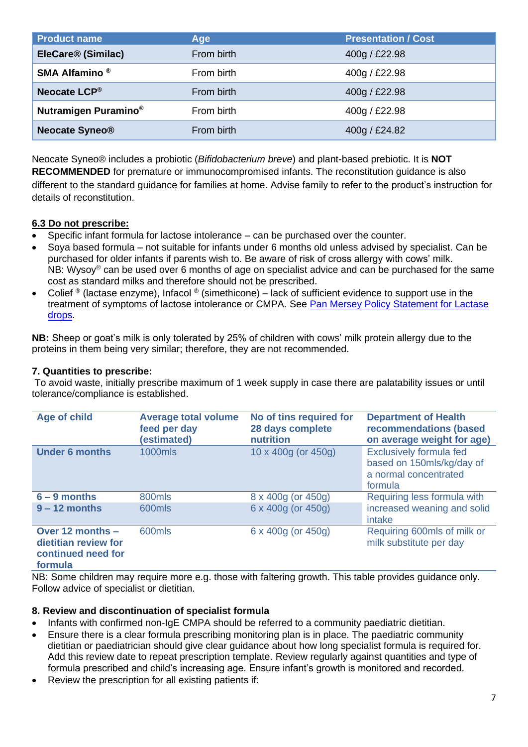| <b>Product name</b>              | Age        | <b>Presentation / Cost</b> |
|----------------------------------|------------|----------------------------|
| EleCare <sup>®</sup> (Similac)   | From birth | 400g / £22.98              |
| SMA Alfamino <sup>®</sup>        | From birth | 400g / £22.98              |
| Neocate LCP®                     | From birth | 400g / £22.98              |
| Nutramigen Puramino <sup>®</sup> | From birth | 400g / £22.98              |
| <b>Neocate Syneo®</b>            | From birth | 400g / £24.82              |

Neocate Syneo® includes a probiotic (*Bifidobacterium breve*) and plant-based prebiotic. It is **NOT RECOMMENDED** for premature or immunocompromised infants. The reconstitution guidance is also different to the standard guidance for families at home. Advise family to refer to the product's instruction for details of reconstitution.

### **6.3 Do not prescribe:**

- Specific infant formula for lactose intolerance can be purchased over the counter.
- Soya based formula not suitable for infants under 6 months old unless advised by specialist. Can be purchased for older infants if parents wish to. Be aware of risk of cross allergy with cows' milk. NB: Wysoy® can be used over 6 months of age on specialist advice and can be purchased for the same cost as standard milks and therefore should not be prescribed.
- Colief ® (lactase enzyme), Infacol ® (simethicone) lack of sufficient evidence to support use in the treatment of symptoms of lactose intolerance or CMPA. See [Pan Mersey Policy Statement for Lactase](https://www.panmerseyapc.nhs.uk/document-store/lactase-enzyme-drops-50-000-unitsg-colief/)  [drops.](https://www.panmerseyapc.nhs.uk/document-store/lactase-enzyme-drops-50-000-unitsg-colief/)

**NB:** Sheep or goat's milk is only tolerated by 25% of children with cows' milk protein allergy due to the proteins in them being very similar; therefore, they are not recommended.

#### **7. Quantities to prescribe:**

To avoid waste, initially prescribe maximum of 1 week supply in case there are palatability issues or until tolerance/compliance is established.

| <b>Age of child</b>                                                       | <b>Average total volume</b><br>feed per day<br>(estimated) | No of tins required for<br>28 days complete<br>nutrition | <b>Department of Health</b><br>recommendations (based<br>on average weight for age)             |
|---------------------------------------------------------------------------|------------------------------------------------------------|----------------------------------------------------------|-------------------------------------------------------------------------------------------------|
| <b>Under 6 months</b>                                                     | <b>1000mls</b>                                             | 10 x 400g (or 450g)                                      | <b>Exclusively formula fed</b><br>based on 150mls/kg/day of<br>a normal concentrated<br>formula |
| $6 - 9$ months                                                            | 800mls                                                     | 8 x 400g (or 450g)                                       | Requiring less formula with                                                                     |
| $9 - 12$ months                                                           | 600mls                                                     | 6 x 400g (or 450g)                                       | increased weaning and solid<br>intake                                                           |
| Over 12 months -<br>dietitian review for<br>continued need for<br>formula | 600mls                                                     | 6 x 400g (or 450g)                                       | Requiring 600mls of milk or<br>milk substitute per day                                          |

**formula**

NB: Some children may require more e.g. those with faltering growth. This table provides guidance only. Follow advice of specialist or dietitian.

#### **8. Review and discontinuation of specialist formula**

- Infants with confirmed non-IgE CMPA should be referred to a community paediatric dietitian.
- Ensure there is a clear formula prescribing monitoring plan is in place. The paediatric community dietitian or paediatrician should give clear guidance about how long specialist formula is required for. Add this review date to repeat prescription template. Review regularly against quantities and type of formula prescribed and child's increasing age. Ensure infant's growth is monitored and recorded.
- Review the prescription for all existing patients if: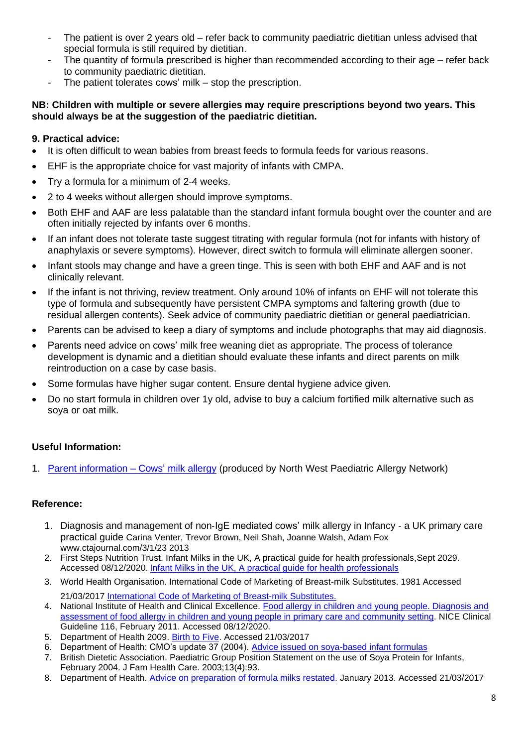- The patient is over 2 years old refer back to community paediatric dietitian unless advised that special formula is still required by dietitian.
- The quantity of formula prescribed is higher than recommended according to their age refer back to community paediatric dietitian.
- The patient tolerates cows' milk  $-$  stop the prescription.

#### **NB: Children with multiple or severe allergies may require prescriptions beyond two years. This should always be at the suggestion of the paediatric dietitian.**

### **9. Practical advice:**

- It is often difficult to wean babies from breast feeds to formula feeds for various reasons.
- EHF is the appropriate choice for vast majority of infants with CMPA.
- Try a formula for a minimum of 2-4 weeks.
- 2 to 4 weeks without allergen should improve symptoms.
- Both EHF and AAF are less palatable than the standard infant formula bought over the counter and are often initially rejected by infants over 6 months.
- If an infant does not tolerate taste suggest titrating with regular formula (not for infants with history of anaphylaxis or severe symptoms). However, direct switch to formula will eliminate allergen sooner.
- Infant stools may change and have a green tinge. This is seen with both EHF and AAF and is not clinically relevant.
- If the infant is not thriving, review treatment. Only around 10% of infants on EHF will not tolerate this type of formula and subsequently have persistent CMPA symptoms and faltering growth (due to residual allergen contents). Seek advice of community paediatric dietitian or general paediatrician.
- Parents can be advised to keep a diary of symptoms and include photographs that may aid diagnosis.
- Parents need advice on cows' milk free weaning diet as appropriate. The process of tolerance development is dynamic and a dietitian should evaluate these infants and direct parents on milk reintroduction on a case by case basis.
- Some formulas have higher sugar content. Ensure dental hygiene advice given.
- Do no start formula in children over 1y old, advise to buy a calcium fortified milk alternative such as soya or oat milk.

### **Useful Information:**

1. [Parent information](https://allergynorthwest.nhs.uk/home-patient/managing-allergies/patient-leaflets/patient-cows-milk-protein-allergy/) – Cows' milk allergy (produced by North West Paediatric Allergy Network)

### **Reference:**

- 1. Diagnosis and management of non‐IgE mediated cows' milk allergy in Infancy ‐ a UK primary care practical guide Carina Venter, Trevor Brown, Neil Shah, Joanne Walsh, Adam Fox www.ctajournal.com/3/1/23 2013
- 2. First Steps Nutrition Trust. Infant Milks in the UK, A practical guide for health professionals,Sept 2029. Accessed 08/12/2020. [Infant Milks in the UK, A practical guide for health professionals](https://static1.squarespace.com/static/59f75004f09ca48694070f3b/t/5da1888eae57b1663c278ec8/1570867354387/Specialised_milk_Sep19_finalc.pdfl)
- 3. World Health Organisation. International Code of Marketing of Breast-milk Substitutes. 1981 Accessed 21/03/2017 [International Code of Marketing of Breast-milk Substitutes.](http://www.who.int/nutrition/publications/code_english.pdf)
- 4. National Institute of Health and Clinical Excellence. [Food allergy in children and young people. Diagnosis and](https://www.nice.org.uk/guidance/cg116)  [assessment of food allergy in children and young people in primary care and community setting.](https://www.nice.org.uk/guidance/cg116) NICE Clinical Guideline 116, February 2011. Accessed 08/12/2020.
- 5. Department of Health 2009. [Birth to Five.](http://webarchive.nationalarchives.gov.uk/+/www.dh.gov.uk/en/Publicationsandstatistics/Publications/publicationspolicyandguidance/DH_107303) Accessed 21/03/2017
- 6. Department of Health: CMO's update 37 (2004). [Advice issued on soya-based infant formulas](http://webarchive.nationalarchives.gov.uk/20130107105354/http:/www.dh.gov.uk/prod_consum_dh/groups/dh_digitalassets/@dh/@en/documents/digitalasset/dh_4070176.pdf)
- 7. British Dietetic Association. Paediatric Group Position Statement on the use of Soya Protein for Infants, February 2004. J Fam Health Care. 2003;13(4):93.
- 8. Department of Health. [Advice on preparation of](https://www.gov.uk/government/publications/advice-on-preparation-of-formula-milks-restated) formula milks restated. January 2013. Accessed 21/03/2017